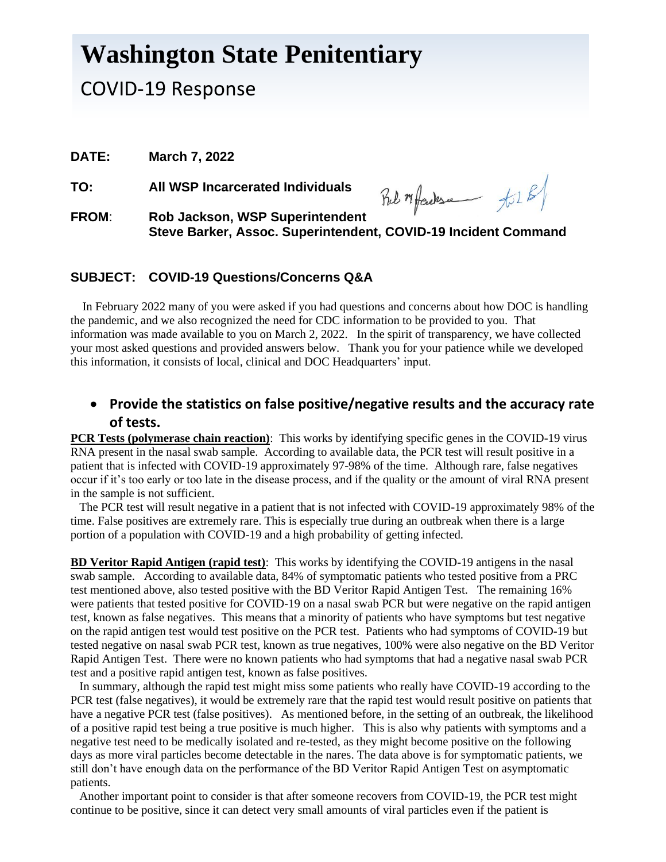# **Washington State Penitentiary**

# COVID-19 Response

**DATE: March 7, 2022**

**TO: All WSP Incarcerated Individuals**

Bel Mfadesa til 8/

**FROM**: **Rob Jackson, WSP Superintendent Steve Barker, Assoc. Superintendent, COVID-19 Incident Command**

#### **SUBJECT: COVID-19 Questions/Concerns Q&A**

 In February 2022 many of you were asked if you had questions and concerns about how DOC is handling the pandemic, and we also recognized the need for CDC information to be provided to you. That information was made available to you on March 2, 2022. In the spirit of transparency, we have collected your most asked questions and provided answers below. Thank you for your patience while we developed this information, it consists of local, clinical and DOC Headquarters' input.

#### • **Provide the statistics on false positive/negative results and the accuracy rate of tests.**

**PCR Tests (polymerase chain reaction)**: This works by identifying specific genes in the COVID-19 virus RNA present in the nasal swab sample. According to available data, the PCR test will result positive in a patient that is infected with COVID-19 approximately 97-98% of the time. Although rare, false negatives occur if it's too early or too late in the disease process, and if the quality or the amount of viral RNA present in the sample is not sufficient.

 The PCR test will result negative in a patient that is not infected with COVID-19 approximately 98% of the time. False positives are extremely rare. This is especially true during an outbreak when there is a large portion of a population with COVID-19 and a high probability of getting infected.

**BD Veritor Rapid Antigen (rapid test)**: This works by identifying the COVID-19 antigens in the nasal swab sample. According to available data, 84% of symptomatic patients who tested positive from a PRC test mentioned above, also tested positive with the BD Veritor Rapid Antigen Test. The remaining 16% were patients that tested positive for COVID-19 on a nasal swab PCR but were negative on the rapid antigen test, known as false negatives. This means that a minority of patients who have symptoms but test negative on the rapid antigen test would test positive on the PCR test. Patients who had symptoms of COVID-19 but tested negative on nasal swab PCR test, known as true negatives, 100% were also negative on the BD Veritor Rapid Antigen Test. There were no known patients who had symptoms that had a negative nasal swab PCR test and a positive rapid antigen test, known as false positives.

 In summary, although the rapid test might miss some patients who really have COVID-19 according to the PCR test (false negatives), it would be extremely rare that the rapid test would result positive on patients that have a negative PCR test (false positives). As mentioned before, in the setting of an outbreak, the likelihood of a positive rapid test being a true positive is much higher. This is also why patients with symptoms and a negative test need to be medically isolated and re-tested, as they might become positive on the following days as more viral particles become detectable in the nares. The data above is for symptomatic patients, we still don't have enough data on the performance of the BD Veritor Rapid Antigen Test on asymptomatic patients.

 Another important point to consider is that after someone recovers from COVID-19, the PCR test might continue to be positive, since it can detect very small amounts of viral particles even if the patient is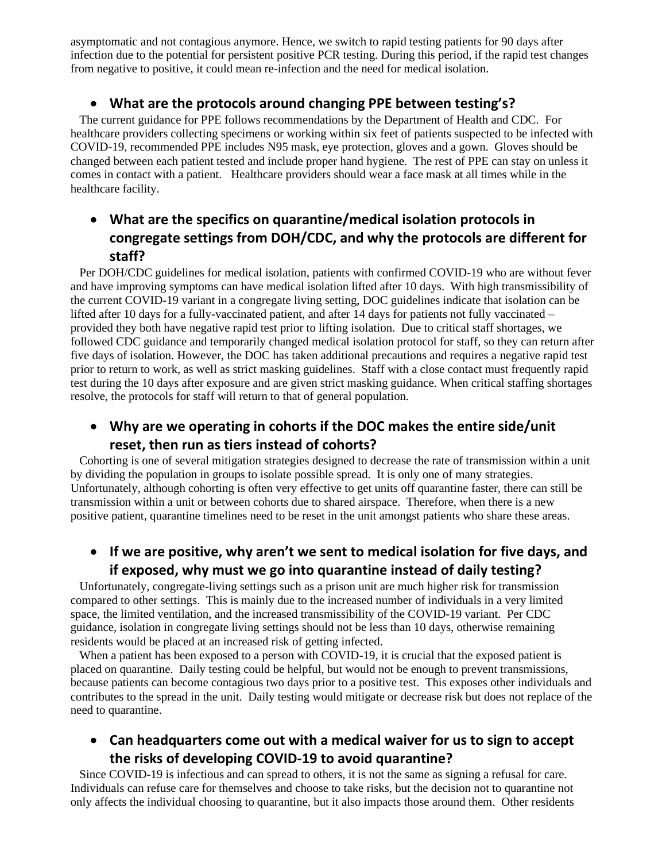asymptomatic and not contagious anymore. Hence, we switch to rapid testing patients for 90 days after infection due to the potential for persistent positive PCR testing. During this period, if the rapid test changes from negative to positive, it could mean re-infection and the need for medical isolation.

#### • **What are the protocols around changing PPE between testing's?**

 The current guidance for PPE follows recommendations by the Department of Health and CDC. For healthcare providers collecting specimens or working within six feet of patients suspected to be infected with COVID-19, recommended PPE includes N95 mask, eye protection, gloves and a gown. Gloves should be changed between each patient tested and include proper hand hygiene. The rest of PPE can stay on unless it comes in contact with a patient. Healthcare providers should wear a face mask at all times while in the healthcare facility.

## • **What are the specifics on quarantine/medical isolation protocols in congregate settings from DOH/CDC, and why the protocols are different for staff?**

 Per DOH/CDC guidelines for medical isolation, patients with confirmed COVID-19 who are without fever and have improving symptoms can have medical isolation lifted after 10 days. With high transmissibility of the current COVID-19 variant in a congregate living setting, DOC guidelines indicate that isolation can be lifted after 10 days for a fully-vaccinated patient, and after 14 days for patients not fully vaccinated – provided they both have negative rapid test prior to lifting isolation. Due to critical staff shortages, we followed CDC guidance and temporarily changed medical isolation protocol for staff, so they can return after five days of isolation. However, the DOC has taken additional precautions and requires a negative rapid test prior to return to work, as well as strict masking guidelines. Staff with a close contact must frequently rapid test during the 10 days after exposure and are given strict masking guidance. When critical staffing shortages resolve, the protocols for staff will return to that of general population.

## • **Why are we operating in cohorts if the DOC makes the entire side/unit reset, then run as tiers instead of cohorts?**

 Cohorting is one of several mitigation strategies designed to decrease the rate of transmission within a unit by dividing the population in groups to isolate possible spread. It is only one of many strategies. Unfortunately, although cohorting is often very effective to get units off quarantine faster, there can still be transmission within a unit or between cohorts due to shared airspace. Therefore, when there is a new positive patient, quarantine timelines need to be reset in the unit amongst patients who share these areas.

## • **If we are positive, why aren't we sent to medical isolation for five days, and if exposed, why must we go into quarantine instead of daily testing?**

 Unfortunately, congregate-living settings such as a prison unit are much higher risk for transmission compared to other settings. This is mainly due to the increased number of individuals in a very limited space, the limited ventilation, and the increased transmissibility of the COVID-19 variant. Per CDC guidance, isolation in congregate living settings should not be less than 10 days, otherwise remaining residents would be placed at an increased risk of getting infected.

When a patient has been exposed to a person with COVID-19, it is crucial that the exposed patient is placed on quarantine. Daily testing could be helpful, but would not be enough to prevent transmissions, because patients can become contagious two days prior to a positive test. This exposes other individuals and contributes to the spread in the unit. Daily testing would mitigate or decrease risk but does not replace of the need to quarantine.

## • **Can headquarters come out with a medical waiver for us to sign to accept the risks of developing COVID-19 to avoid quarantine?**

 Since COVID-19 is infectious and can spread to others, it is not the same as signing a refusal for care. Individuals can refuse care for themselves and choose to take risks, but the decision not to quarantine not only affects the individual choosing to quarantine, but it also impacts those around them. Other residents